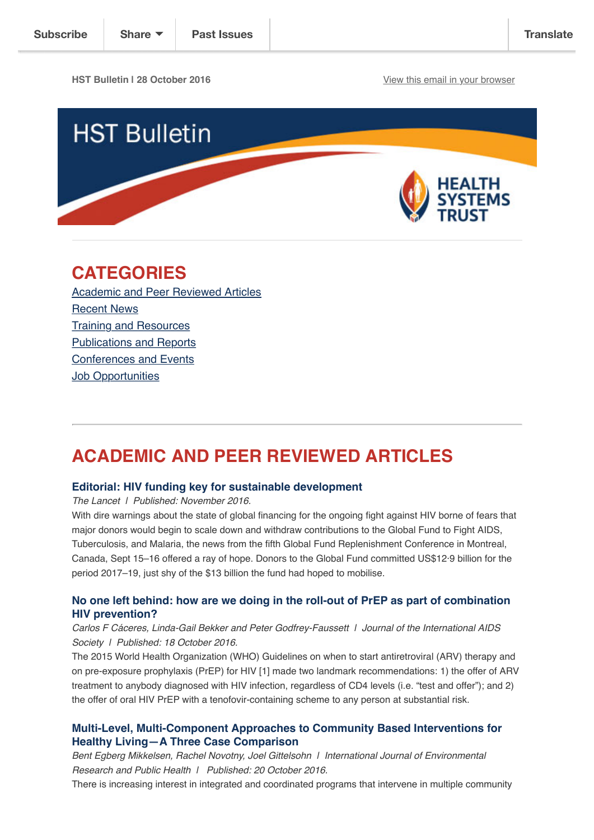**HST Bulletin | 28 October 2016** [View this email in your browser](http://us14.campaign-archive2.com/?u=72d7614ab973e486252cafb97&id=2c00309d34&e=%5BUNIQID%5D)



# **CATEGORIES**

[Academic and Peer Reviewed Articles](http://us14.campaign-archive2.com/?u=72d7614ab973e486252cafb97&id=2c00309d34#Academic) [Recent News](http://us14.campaign-archive2.com/?u=72d7614ab973e486252cafb97&id=2c00309d34#Recent) [Training and Resources](http://us14.campaign-archive2.com/?u=72d7614ab973e486252cafb97&id=2c00309d34#Training) [Publications and Reports](http://us14.campaign-archive2.com/?u=72d7614ab973e486252cafb97&id=2c00309d34#Books) [Conferences and Events](http://us14.campaign-archive2.com/?u=72d7614ab973e486252cafb97&id=2c00309d34#Conferences) **[Job Opportunities](http://us14.campaign-archive2.com/?u=72d7614ab973e486252cafb97&id=2c00309d34#Job%20Opportunities)** 

# **ACADEMIC AND PEER REVIEWED ARTICLES**

### **[Editorial: HIV funding key for sustainable development](http://www.thelancet.com/journals/lanhiv/article/PIIS2352-3018(16)30177-1/fulltext?elsca1=etoc)**

*The Lancet | Published: November 2016.*

With dire warnings about the state of global financing for the ongoing fight against HIV borne of fears that major donors would begin to scale down and withdraw contributions to the Global Fund to Fight AIDS, Tuberculosis, and Malaria, the news from the fifth Global Fund Replenishment Conference in Montreal, Canada, Sept 15–16 offered a ray of hope. Donors to the Global Fund committed US\$12·9 billion for the period 2017–19, just shy of the \$13 billion the fund had hoped to mobilise.

### **[No one left behind: how are we doing in the roll-out of PrEP as part of combination](http://www.jiasociety.org/index.php/jias/article/view/21364/html) HIV prevention?**

### *Carlos F Cáceres, Linda-Gail Bekker and Peter Godfrey-Faussett | Journal of the International AIDS Society | Published: 18 October 2016.*

The 2015 World Health Organization (WHO) Guidelines on when to start antiretroviral (ARV) therapy and on pre-exposure prophylaxis (PrEP) for HIV [1] made two landmark recommendations: 1) the offer of ARV treatment to anybody diagnosed with HIV infection, regardless of CD4 levels (i.e. "test and offer"); and 2) the offer of oral HIV PrEP with a tenofovir-containing scheme to any person at substantial risk.

## **[Multi-Level, Multi-Component Approaches to Community Based Interventions for](http://www.mdpi.com/1660-4601/13/10/1023) Healthy Living—A Three Case Comparison**

*Bent Egberg Mikkelsen, Rachel Novotny, Joel Gittelsohn | International Journal of Environmental Research and Public Health | Published: 20 October 2016.*

There is increasing interest in integrated and coordinated programs that intervene in multiple community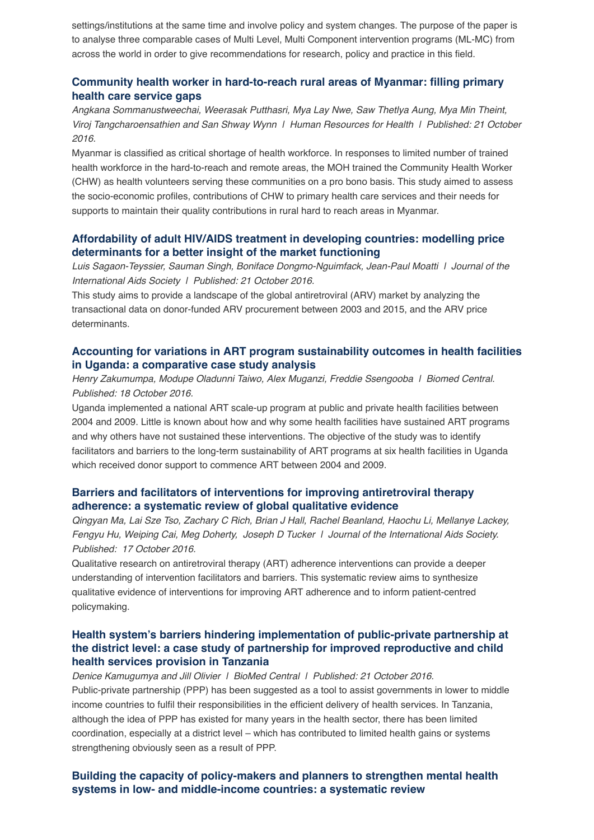settings/institutions at the same time and involve policy and system changes. The purpose of the paper is to analyse three comparable cases of Multi Level, Multi Component intervention programs (ML-MC) from across the world in order to give recommendations for research, policy and practice in this field.

# **[Community health worker in hard-to-reach rural areas of Myanmar: filling primary](https://human-resources-health.biomedcentral.com/articles/10.1186/s12960-016-0161-4) health care service gaps**

*Angkana Sommanustweechai, Weerasak Putthasri, Mya Lay Nwe, Saw Thetlya Aung, Mya Min Theint, Viroj Tangcharoensathien and San Shway Wynn | Human Resources for Health | Published: 21 October 2016.*

Myanmar is classified as critical shortage of health workforce. In responses to limited number of trained health workforce in the hard-to-reach and remote areas, the MOH trained the Community Health Worker (CHW) as health volunteers serving these communities on a pro bono basis. This study aimed to assess the socio-economic profiles, contributions of CHW to primary health care services and their needs for supports to maintain their quality contributions in rural hard to reach areas in Myanmar.

# **[Affordability of adult HIV/AIDS treatment in developing countries: modelling price](http://www.jiasociety.org/index.php/jias/article/view/20619/pdf_1) determinants for a better insight of the market functioning**

*Luis Sagaon-Teyssier, Sauman Singh, Boniface Dongmo-Nguimfack, Jean-Paul Moatti | Journal of the International Aids Society | Published: 21 October 2016.*

This study aims to provide a landscape of the global antiretroviral (ARV) market by analyzing the transactional data on donor-funded ARV procurement between 2003 and 2015, and the ARV price determinants.

## **[Accounting for variations in ART program sustainability outcomes in health facilities](http://bmchealthservres.biomedcentral.com/articles/10.1186/s12913-016-1833-4) in Uganda: a comparative case study analysis**

*Henry Zakumumpa, Modupe Oladunni Taiwo, Alex Muganzi, Freddie Ssengooba | Biomed Central. Published: 18 October 2016.*

Uganda implemented a national ART scale-up program at public and private health facilities between 2004 and 2009. Little is known about how and why some health facilities have sustained ART programs and why others have not sustained these interventions. The objective of the study was to identify facilitators and barriers to the long-term sustainability of ART programs at six health facilities in Uganda which received donor support to commence ART between 2004 and 2009.

### **[Barriers and facilitators of interventions for improving antiretroviral therapy](http://www.jiasociety.org/index.php/jias/article/view/21166/pdf_1) adherence: a systematic review of global qualitative evidence**

*Qingyan Ma, Lai Sze Tso, Zachary C Rich, Brian J Hall, Rachel Beanland, Haochu Li, Mellanye Lackey, Fengyu Hu, Weiping Cai, Meg Doherty, Joseph D Tucker | Journal of the International Aids Society. Published: 17 October 2016.*

Qualitative research on antiretroviral therapy (ART) adherence interventions can provide a deeper understanding of intervention facilitators and barriers. This systematic review aims to synthesize qualitative evidence of interventions for improving ART adherence and to inform patient-centred policymaking.

### **[Health system's barriers hindering implementation of public-private partnership at](https://bmchealthservres.biomedcentral.com/articles/10.1186/s12913-016-1831-6) the district level: a case study of partnership for improved reproductive and child health services provision in Tanzania**

*Denice Kamugumya and Jill Olivier | BioMed Central | Published: 21 October 2016.* Public-private partnership (PPP) has been suggested as a tool to assist governments in lower to middle income countries to fulfil their responsibilities in the efficient delivery of health services. In Tanzania, although the idea of PPP has existed for many years in the health sector, there has been limited coordination, especially at a district level – which has contributed to limited health gains or systems strengthening obviously seen as a result of PPP.

# **[Building the capacity of policy-makers and planners to strengthen mental health](https://bmchealthservres.biomedcentral.com/articles/10.1186/s12913-016-1853-0) systems in low- and middle-income countries: a systematic review**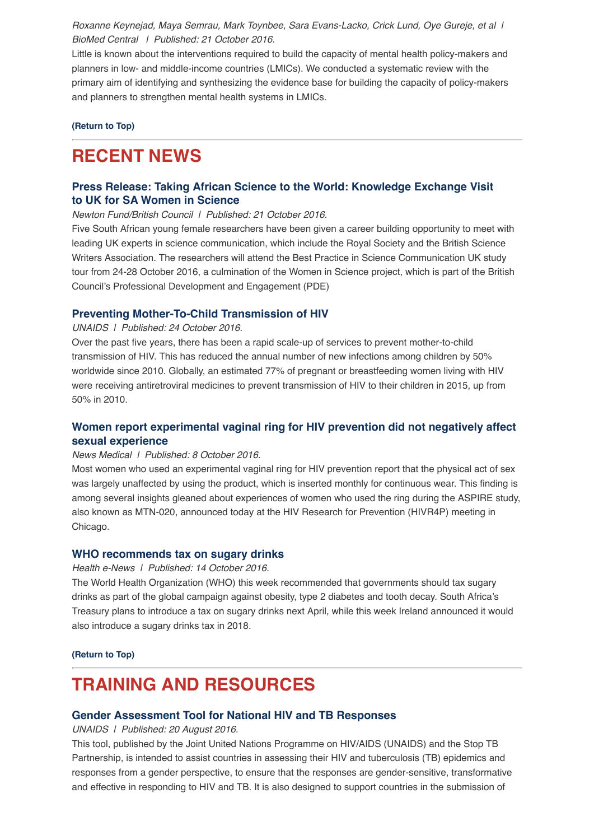*Roxanne Keynejad, Maya Semrau, Mark Toynbee, Sara Evans-Lacko, Crick Lund, Oye Gureje, et al | BioMed Central | Published: 21 October 2016.*

Little is known about the interventions required to build the capacity of mental health policy-makers and planners in low- and middle-income countries (LMICs). We conducted a systematic review with the primary aim of identifying and synthesizing the evidence base for building the capacity of policy-makers and planners to strengthen mental health systems in LMICs.

**[\(Return to Top\)](http://us14.campaign-archive2.com/?u=72d7614ab973e486252cafb97&id=2c00309d34#Top)**

# **RECENT NEWS**

# **[Press Release: Taking African Science to the World: Knowledge Exchange Visit](http://www.hst.org.za/news/taking-african-science-world-knowledge-exchange-visit-uk-sa-women-science) to [UK for SA Women in Science](http://www.hst.org.za/news/taking-african-science-world-knowledge-exchange-visit-uk-sa-women-science)**

*Newton Fund/British Council | Published: 21 October 2016.*

Five South African young female researchers have been given a career building opportunity to meet with leading UK experts in science communication, which include the Royal Society and the British Science Writers Association. The researchers will attend the Best Practice in Science Communication UK study tour from 24-28 October 2016, a culmination of the Women in Science project, which is part of the British Council's Professional Development and Engagement (PDE)

### **[Preventing Mother-To-Child Transmission of HIV](http://www.unaids.org/en/resources/presscentre/featurestories/2016/october/20161024_EMotherToChildT)**

*UNAIDS | Published: 24 October 2016.*

Over the past five years, there has been a rapid scale-up of services to prevent mother-to-child transmission of HIV. This has reduced the annual number of new infections among children by 50% worldwide since 2010. Globally, an estimated 77% of pregnant or breastfeeding women living with HIV were receiving antiretroviral medicines to prevent transmission of HIV to their children in 2015, up from 50% in 2010.

## **[Women report experimental vaginal ring for HIV prevention did not negatively affect](http://www.news-medical.net/news/20161018/Women-report-experimental-vaginal-ring-for-HIV-preventionc2a0did-not-negatively-affect-sexual-experience.aspx) sexual experience**

### *News Medical | Published: 8 October 2016.*

Most women who used an experimental vaginal ring for HIV prevention report that the physical act of sex was largely unaffected by using the product, which is inserted monthly for continuous wear. This finding is among several insights gleaned about experiences of women who used the ring during the ASPIRE study, also known as MTN-020, announced today at the HIV Research for Prevention (HIVR4P) meeting in Chicago.

#### **[WHO recommends tax on sugary drinks](https://www.health-e.org.za/2016/10/14/recommends-tax-sugary-drinks/)**

#### *Health e-News | Published: 14 October 2016.*

The World Health Organization (WHO) this week recommended that governments should tax sugary drinks as part of the global campaign against obesity, type 2 diabetes and tooth decay. South Africa's Treasury plans to introduce a tax on sugary drinks next April, while this week Ireland announced it would also introduce a sugary drinks tax in 2018.

**[\(Return to Top\)](http://us14.campaign-archive2.com/?u=72d7614ab973e486252cafb97&id=2c00309d34#Top)**

# **TRAINING AND RESOURCES**

### **[Gender Assessment Tool for National HIV and TB Responses](http://www.stoptb.org/assets/documents/resources/publications/acsm/Gender_Assessment_Tool_TB_HIV_UNAIDS_FINAL_2016%20ENG.pdf)**

*UNAIDS | Published: 20 August 2016.*

This tool, published by the Joint United Nations Programme on HIV/AIDS (UNAIDS) and the Stop TB Partnership, is intended to assist countries in assessing their HIV and tuberculosis (TB) epidemics and responses from a gender perspective, to ensure that the responses are gender-sensitive, transformative and effective in responding to HIV and TB. It is also designed to support countries in the submission of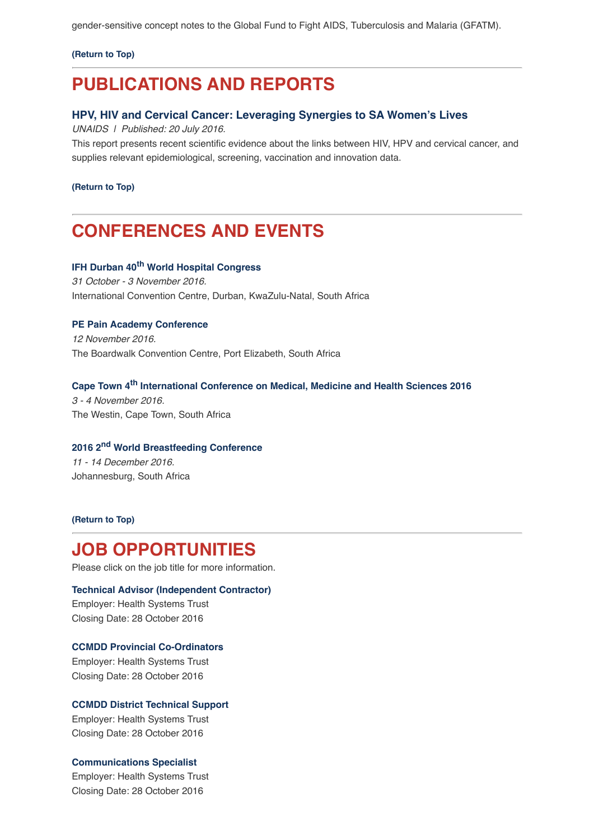gender-sensitive concept notes to the Global Fund to Fight AIDS, Tuberculosis and Malaria (GFATM).

**[\(Return to Top\)](http://us14.campaign-archive2.com/?u=72d7614ab973e486252cafb97&id=2c00309d34#Top)**

# **PUBLICATIONS AND REPORTS**

### **[HPV, HIV and Cervical Cancer: Leveraging Synergies to SA Women's Lives](http://www.unaids.org/sites/default/files/media_asset/JC2851_HPV-HIV-cervicalcancer_en.pdf)**

*UNAIDS | Published: 20 July 2016.*

This report presents recent scientific evidence about the links between HIV, HPV and cervical cancer, and supplies relevant epidemiological, screening, vaccination and innovation data.

**[\(Return to Top\)](http://us14.campaign-archive2.com/?u=72d7614ab973e486252cafb97&id=2c00309d34#Top)**

# **CONFERENCES AND EVENTS**

# **IFH Durban 40[th World Hospital Congress](https://www.ihf-fih.org/ihfcongress)**

*31 October - 3 November 2016.* International Convention Centre, Durban, KwaZulu-Natal, South Africa

### **[PE Pain Academy Conference](http://painsa.org.za/2016-pe-pain-academy-2016/)**

*12 November 2016.* The Boardwalk Convention Centre, Port Elizabeth, South Africa

# **[Cape Town 4th International Conference on Medical, Medicine and Health Sciences 2016](http://academicfora.com/mmhs-november-03-04-2016-cape-town-south-africa/)**

*3 - 4 November 2016.* The Westin, Cape Town, South Africa

# **[2016 2nd World Breastfeeding Conference](http://worldbreastfeedingconference.org/home.html)** *11 - 14 December 2016.* Johannesburg, South Africa

**[\(Return to Top\)](http://us14.campaign-archive2.com/?u=72d7614ab973e486252cafb97&id=2c00309d34#Top)**

# **JOB OPPORTUNITIES**

Please click on the job title for more information.

#### **[Technical Advisor \(Independent Contractor\)](http://www.hst.org.za/jobs/technical-advisor-independent-contractor)**

Employer: Health Systems Trust Closing Date: 28 October 2016

### **[CCMDD Provincial Co-Ordinators](http://www.hst.org.za/jobs/ccmdd-provincial-co-ordinators)**

Employer: Health Systems Trust Closing Date: 28 October 2016

### **[CCMDD District Technical Support](http://www.hst.org.za/jobs/ccmdd-district-technical-support)**

Employer: Health Systems Trust Closing Date: 28 October 2016

### **[Communications Specialist](http://www.hst.org.za/jobs/communications-specialist)**

Employer: Health Systems Trust Closing Date: 28 October 2016